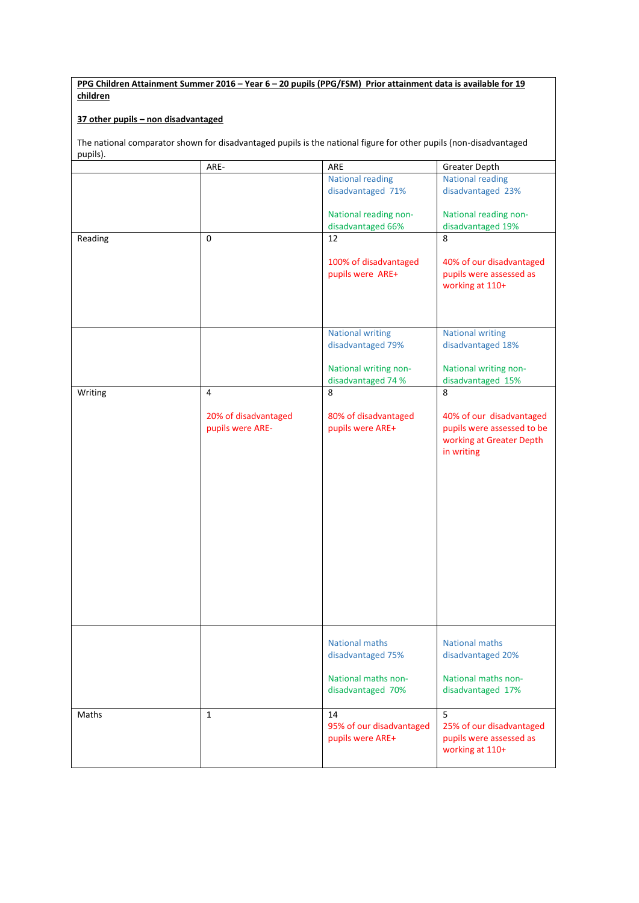**PPG Children Attainment Summer 2016 – Year 6 – 20 pupils (PPG/FSM) Prior attainment data is available for 19 children**

## **37 other pupils – non disadvantaged**

The national comparator shown for disadvantaged pupils is the national figure for other pupils (non-disadvantaged pupils).

|         | ARE-                                     | ARE                                                                                    | Greater Depth                                                                                    |
|---------|------------------------------------------|----------------------------------------------------------------------------------------|--------------------------------------------------------------------------------------------------|
|         |                                          | <b>National reading</b><br>disadvantaged 71%                                           | <b>National reading</b><br>disadvantaged 23%                                                     |
|         |                                          | National reading non-<br>disadvantaged 66%                                             | National reading non-<br>disadvantaged 19%                                                       |
| Reading | $\mathbf 0$                              | 12                                                                                     | 8                                                                                                |
|         |                                          | 100% of disadvantaged<br>pupils were ARE+                                              | 40% of our disadvantaged<br>pupils were assessed as<br>working at 110+                           |
|         |                                          | <b>National writing</b>                                                                | <b>National writing</b>                                                                          |
|         |                                          | disadvantaged 79%                                                                      | disadvantaged 18%                                                                                |
|         |                                          | National writing non-<br>disadvantaged 74 %                                            | National writing non-<br>disadvantaged 15%                                                       |
| Writing | $\overline{4}$                           | 8                                                                                      | 8                                                                                                |
|         | 20% of disadvantaged<br>pupils were ARE- | 80% of disadvantaged<br>pupils were ARE+                                               | 40% of our disadvantaged<br>pupils were assessed to be<br>working at Greater Depth<br>in writing |
|         |                                          | <b>National maths</b><br>disadvantaged 75%<br>National maths non-<br>disadvantaged 70% | National maths<br>disadvantaged 20%<br>National maths non-<br>disadvantaged 17%                  |
| Maths   | $\mathbf{1}$                             | 14<br>95% of our disadvantaged<br>pupils were ARE+                                     | $\overline{5}$<br>25% of our disadvantaged<br>pupils were assessed as<br>working at 110+         |